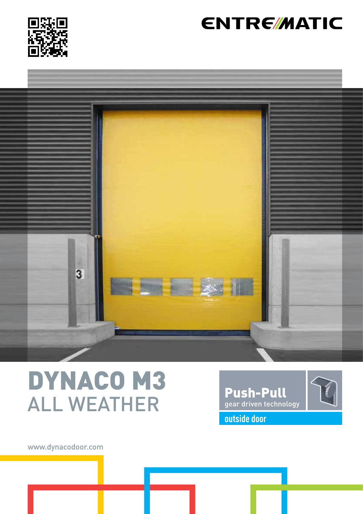

## **ENTRE/MATIC**



# DYNACO M3 ALL WEATHER



www.dynacodoor.com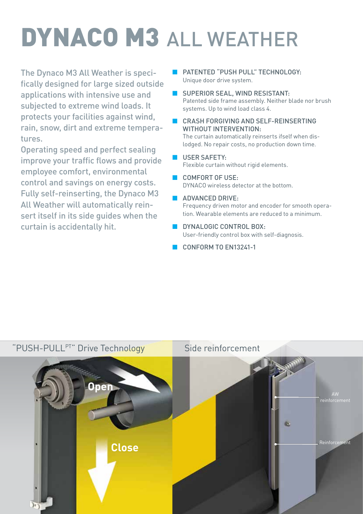# DYNACO M3 ALL WEATHER

The Dynaco M3 All Weather is specifically designed for large sized outside applications with intensive use and subjected to extreme wind loads. It protects your facilities against wind, rain, snow, dirt and extreme temperatures.

Operating speed and perfect sealing improve your traffic flows and provide employee comfort, environmental control and savings on energy costs. Fully self-reinserting, the Dynaco M3 All Weather will automatically reinsert itself in its side guides when the curtain is accidentally hit.

- **B** PATENTED "PUSH PULL" TECHNOLOGY: Unique door drive system.
- SUPERIOR SEAL, WIND RESISTANT: Patented side frame assembly. Neither blade nor brush systems. Up to wind load class 4.
- CRASH FORGIVING AND SELF-REINSERTING WITHOUT INTERVENTION: The curtain automatically reinserts ifself when dislodged. No repair costs, no production down time.
- **USER SAFETY:** Flexible curtain without rigid elements.
- COMFORT OF USE: DYNACO wireless detector at the bottom.
- **ADVANCED DRIVE:** Frequency driven motor and encoder for smooth operation. Wearable elements are reduced to a minimum.
- DYNALOGIC CONTROL BOX: User-friendly control box with self-diagnosis.
- CONFORM TO FN13241-1

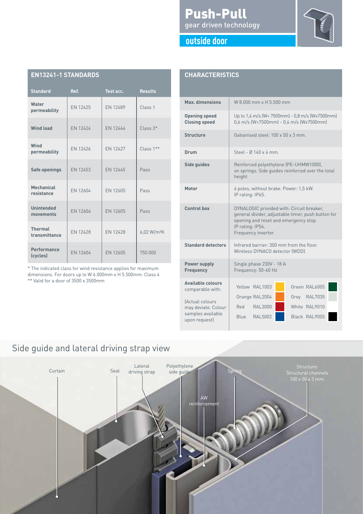#### Push-Pull gear driven technology



#### **outside door**

| <b>EN13241-1 STANDARDS</b>      |                 |                 |                         |
|---------------------------------|-----------------|-----------------|-------------------------|
| <b>Standard</b>                 | Ref.            | Test acc.       | <b>Results</b>          |
| Water<br>permeability           | EN 12425        | EN 12489        | Class 1                 |
| <b>Wind load</b>                | EN 12424        | EN 12444        | $Class 3*$              |
| Wind<br>permeability            | EN 12426        | EN 12427        | Class $1**$             |
| Safe openings                   | EN 12453        | FN 12445        | Pass                    |
| Mechanical<br>resistance        | EN 12604        | EN 12605        | Pass                    |
| <b>Unintended</b><br>movements  | EN 12604        | EN 12605        | Pass                    |
| <b>Thermal</b><br>transmittance | <b>EN 12428</b> | <b>EN 12428</b> | 6,02 W/m <sup>2</sup> K |
| Performance<br>(cycles)         | EN 12604        | EN 12605        | 750.000                 |

\* The indicated class for wind resistance applies for maximum dimensions. For doors up to W 6.000mm x H 5.500mm: Class 4

\*\* Valid for a door of 3500 x 3500mm

| <b>CHARACTERISTICS</b>                                          |                                                                                                                                                                                     |  |  |
|-----------------------------------------------------------------|-------------------------------------------------------------------------------------------------------------------------------------------------------------------------------------|--|--|
| Max. dimensions                                                 | W 8.000 mm x H 5.500 mm                                                                                                                                                             |  |  |
| <b>Opening speed</b><br><b>Closing speed</b>                    | Up to 1,4 m/s (W< 7500mm) - 0,8 m/s (W≥7500mm)<br>0,6 m/s (W<7500mm) - 0,4 m/s (W>7500mm)                                                                                           |  |  |
| <b>Structure</b>                                                | Galvanised steel: 100 x 50 x 3 mm.                                                                                                                                                  |  |  |
| Drum                                                            | Steel - Ø 140 x 4 mm.                                                                                                                                                               |  |  |
| Side guides                                                     | Reinforced polyethylene (PE-UHMW1000),<br>on springs. Side guides reinforced over the total<br>height.                                                                              |  |  |
| Motor                                                           | 4 poles, without brake. Power: 1,5 kW.<br>IP rating: IP65.                                                                                                                          |  |  |
| <b>Control box</b>                                              | DYNALOGIC provided with: Circuit breaker,<br>general divider, adjustable timer, push button for<br>opening and reset and emergency stop.<br>IP rating: IP54.<br>Frequency inverter. |  |  |
| <b>Standard detectors</b>                                       | Infrared barrier: 300 mm from the floor.<br>Wireless DYNACO detector (WDD).                                                                                                         |  |  |
| <b>Power supply</b><br><b>Frequency</b>                         | Single phase 230V - 18 A<br>Frequency: 50-60 Hz                                                                                                                                     |  |  |
| <b>Available colours</b><br>comparable with:<br>(Actual colours | Yellow RAL1003<br>Green RAL6005<br>Grey RAL7035<br>Orange RAL2004                                                                                                                   |  |  |
| may deviate. Colour<br>samples available<br>upon request)       | White RAL9010<br><b>RAL3000</b><br>Red<br>Blue<br><b>RAL5002</b><br>Black RAL9005                                                                                                   |  |  |

## Side guide and lateral driving strap view